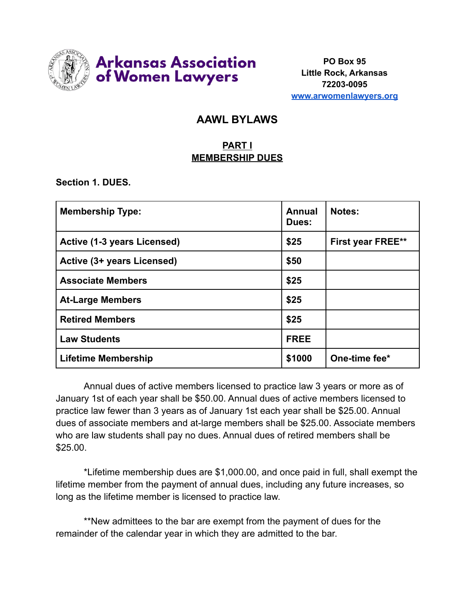

**PO Box 95 Little Rock, Arkansas 72203-0095 [www.arwomenlawyers.org](http://www.arwomenlawyers.org)**

# **AAWL BYLAWS**

# **PART I MEMBERSHIP DUES**

**Section 1. DUES.**

| <b>Membership Type:</b>     | Annual<br>Dues: | Notes:                   |
|-----------------------------|-----------------|--------------------------|
| Active (1-3 years Licensed) | \$25            | <b>First year FREE**</b> |
| Active (3+ years Licensed)  | \$50            |                          |
| <b>Associate Members</b>    | \$25            |                          |
| <b>At-Large Members</b>     | \$25            |                          |
| <b>Retired Members</b>      | \$25            |                          |
| <b>Law Students</b>         | <b>FREE</b>     |                          |
| <b>Lifetime Membership</b>  | \$1000          | One-time fee*            |

Annual dues of active members licensed to practice law 3 years or more as of January 1st of each year shall be \$50.00. Annual dues of active members licensed to practice law fewer than 3 years as of January 1st each year shall be \$25.00. Annual dues of associate members and at-large members shall be \$25.00. Associate members who are law students shall pay no dues. Annual dues of retired members shall be \$25.00.

\*Lifetime membership dues are \$1,000.00, and once paid in full, shall exempt the lifetime member from the payment of annual dues, including any future increases, so long as the lifetime member is licensed to practice law.

\*\*New admittees to the bar are exempt from the payment of dues for the remainder of the calendar year in which they are admitted to the bar.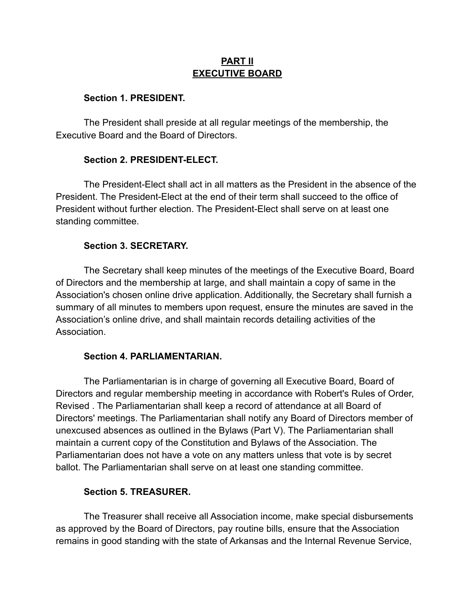## **PART II EXECUTIVE BOARD**

#### **Section 1. PRESIDENT.**

The President shall preside at all regular meetings of the membership, the Executive Board and the Board of Directors.

### **Section 2. PRESIDENT-ELECT.**

The President-Elect shall act in all matters as the President in the absence of the President. The President-Elect at the end of their term shall succeed to the office of President without further election. The President-Elect shall serve on at least one standing committee.

#### **Section 3. SECRETARY.**

The Secretary shall keep minutes of the meetings of the Executive Board, Board of Directors and the membership at large, and shall maintain a copy of same in the Association's chosen online drive application. Additionally, the Secretary shall furnish a summary of all minutes to members upon request, ensure the minutes are saved in the Association's online drive, and shall maintain records detailing activities of the **Association** 

#### **Section 4. PARLIAMENTARIAN.**

The Parliamentarian is in charge of governing all Executive Board, Board of Directors and regular membership meeting in accordance with Robert's Rules of Order, Revised . The Parliamentarian shall keep a record of attendance at all Board of Directors' meetings. The Parliamentarian shall notify any Board of Directors member of unexcused absences as outlined in the Bylaws (Part V). The Parliamentarian shall maintain a current copy of the Constitution and Bylaws of the Association. The Parliamentarian does not have a vote on any matters unless that vote is by secret ballot. The Parliamentarian shall serve on at least one standing committee.

#### **Section 5. TREASURER.**

The Treasurer shall receive all Association income, make special disbursements as approved by the Board of Directors, pay routine bills, ensure that the Association remains in good standing with the state of Arkansas and the Internal Revenue Service,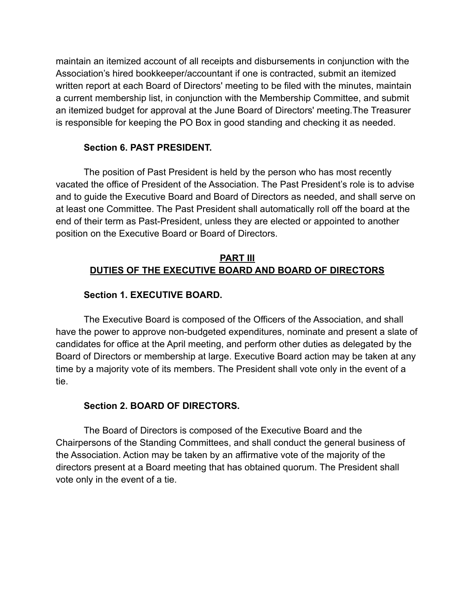maintain an itemized account of all receipts and disbursements in conjunction with the Association's hired bookkeeper/accountant if one is contracted, submit an itemized written report at each Board of Directors' meeting to be filed with the minutes, maintain a current membership list, in conjunction with the Membership Committee, and submit an itemized budget for approval at the June Board of Directors' meeting.The Treasurer is responsible for keeping the PO Box in good standing and checking it as needed.

#### **Section 6. PAST PRESIDENT.**

The position of Past President is held by the person who has most recently vacated the office of President of the Association. The Past President's role is to advise and to guide the Executive Board and Board of Directors as needed, and shall serve on at least one Committee. The Past President shall automatically roll off the board at the end of their term as Past-President, unless they are elected or appointed to another position on the Executive Board or Board of Directors.

# **PART III DUTIES OF THE EXECUTIVE BOARD AND BOARD OF DIRECTORS**

#### **Section 1. EXECUTIVE BOARD.**

The Executive Board is composed of the Officers of the Association, and shall have the power to approve non-budgeted expenditures, nominate and present a slate of candidates for office at the April meeting, and perform other duties as delegated by the Board of Directors or membership at large. Executive Board action may be taken at any time by a majority vote of its members. The President shall vote only in the event of a tie.

#### **Section 2. BOARD OF DIRECTORS.**

The Board of Directors is composed of the Executive Board and the Chairpersons of the Standing Committees, and shall conduct the general business of the Association. Action may be taken by an affirmative vote of the majority of the directors present at a Board meeting that has obtained quorum. The President shall vote only in the event of a tie.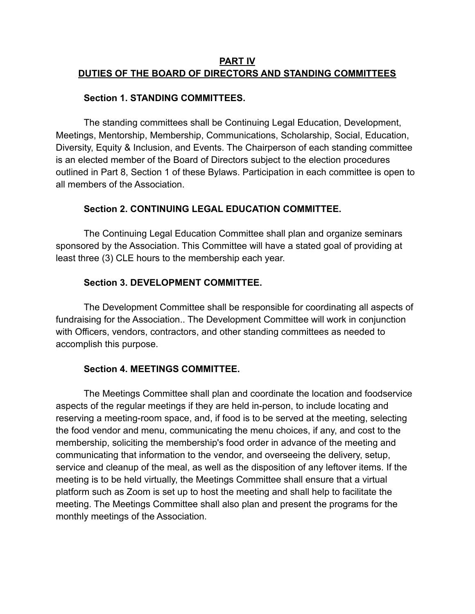### **PART IV DUTIES OF THE BOARD OF DIRECTORS AND STANDING COMMITTEES**

#### **Section 1. STANDING COMMITTEES.**

The standing committees shall be Continuing Legal Education, Development, Meetings, Mentorship, Membership, Communications, Scholarship, Social, Education, Diversity, Equity & Inclusion, and Events. The Chairperson of each standing committee is an elected member of the Board of Directors subject to the election procedures outlined in Part 8, Section 1 of these Bylaws. Participation in each committee is open to all members of the Association.

### **Section 2. CONTINUING LEGAL EDUCATION COMMITTEE.**

The Continuing Legal Education Committee shall plan and organize seminars sponsored by the Association. This Committee will have a stated goal of providing at least three (3) CLE hours to the membership each year.

#### **Section 3. DEVELOPMENT COMMITTEE.**

The Development Committee shall be responsible for coordinating all aspects of fundraising for the Association.. The Development Committee will work in conjunction with Officers, vendors, contractors, and other standing committees as needed to accomplish this purpose.

### **Section 4. MEETINGS COMMITTEE.**

The Meetings Committee shall plan and coordinate the location and foodservice aspects of the regular meetings if they are held in-person, to include locating and reserving a meeting-room space, and, if food is to be served at the meeting, selecting the food vendor and menu, communicating the menu choices, if any, and cost to the membership, soliciting the membership's food order in advance of the meeting and communicating that information to the vendor, and overseeing the delivery, setup, service and cleanup of the meal, as well as the disposition of any leftover items. If the meeting is to be held virtually, the Meetings Committee shall ensure that a virtual platform such as Zoom is set up to host the meeting and shall help to facilitate the meeting. The Meetings Committee shall also plan and present the programs for the monthly meetings of the Association.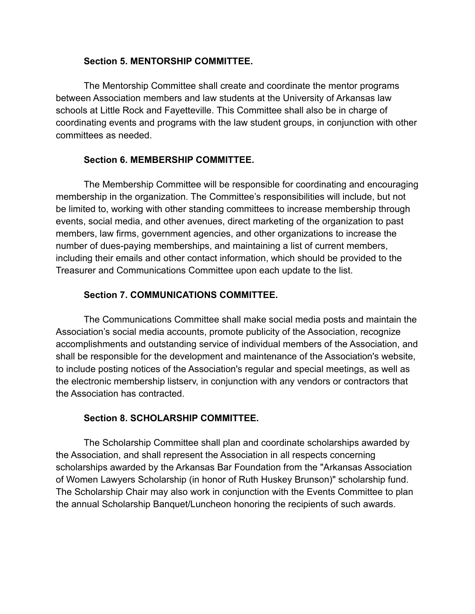#### **Section 5. MENTORSHIP COMMITTEE.**

The Mentorship Committee shall create and coordinate the mentor programs between Association members and law students at the University of Arkansas law schools at Little Rock and Fayetteville. This Committee shall also be in charge of coordinating events and programs with the law student groups, in conjunction with other committees as needed.

# **Section 6. MEMBERSHIP COMMITTEE.**

The Membership Committee will be responsible for coordinating and encouraging membership in the organization. The Committee's responsibilities will include, but not be limited to, working with other standing committees to increase membership through events, social media, and other avenues, direct marketing of the organization to past members, law firms, government agencies, and other organizations to increase the number of dues-paying memberships, and maintaining a list of current members, including their emails and other contact information, which should be provided to the Treasurer and Communications Committee upon each update to the list.

### **Section 7. COMMUNICATIONS COMMITTEE.**

The Communications Committee shall make social media posts and maintain the Association's social media accounts, promote publicity of the Association, recognize accomplishments and outstanding service of individual members of the Association, and shall be responsible for the development and maintenance of the Association's website, to include posting notices of the Association's regular and special meetings, as well as the electronic membership listserv, in conjunction with any vendors or contractors that the Association has contracted.

### **Section 8. SCHOLARSHIP COMMITTEE.**

The Scholarship Committee shall plan and coordinate scholarships awarded by the Association, and shall represent the Association in all respects concerning scholarships awarded by the Arkansas Bar Foundation from the "Arkansas Association of Women Lawyers Scholarship (in honor of Ruth Huskey Brunson)" scholarship fund. The Scholarship Chair may also work in conjunction with the Events Committee to plan the annual Scholarship Banquet/Luncheon honoring the recipients of such awards.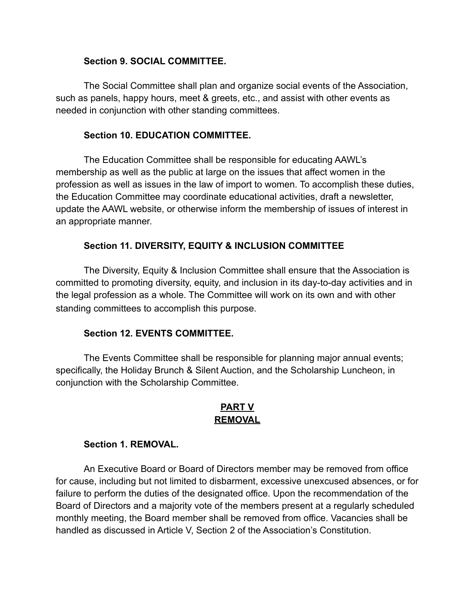#### **Section 9. SOCIAL COMMITTEE.**

The Social Committee shall plan and organize social events of the Association, such as panels, happy hours, meet & greets, etc., and assist with other events as needed in conjunction with other standing committees.

#### **Section 10. EDUCATION COMMITTEE.**

The Education Committee shall be responsible for educating AAWL's membership as well as the public at large on the issues that affect women in the profession as well as issues in the law of import to women. To accomplish these duties, the Education Committee may coordinate educational activities, draft a newsletter, update the AAWL website, or otherwise inform the membership of issues of interest in an appropriate manner.

### **Section 11. DIVERSITY, EQUITY & INCLUSION COMMITTEE**

The Diversity, Equity & Inclusion Committee shall ensure that the Association is committed to promoting diversity, equity, and inclusion in its day-to-day activities and in the legal profession as a whole. The Committee will work on its own and with other standing committees to accomplish this purpose.

#### **Section 12. EVENTS COMMITTEE.**

The Events Committee shall be responsible for planning major annual events; specifically, the Holiday Brunch & Silent Auction, and the Scholarship Luncheon, in conjunction with the Scholarship Committee.

### **PART V REMOVAL**

#### **Section 1. REMOVAL.**

An Executive Board or Board of Directors member may be removed from office for cause, including but not limited to disbarment, excessive unexcused absences, or for failure to perform the duties of the designated office. Upon the recommendation of the Board of Directors and a majority vote of the members present at a regularly scheduled monthly meeting, the Board member shall be removed from office. Vacancies shall be handled as discussed in Article V, Section 2 of the Association's Constitution.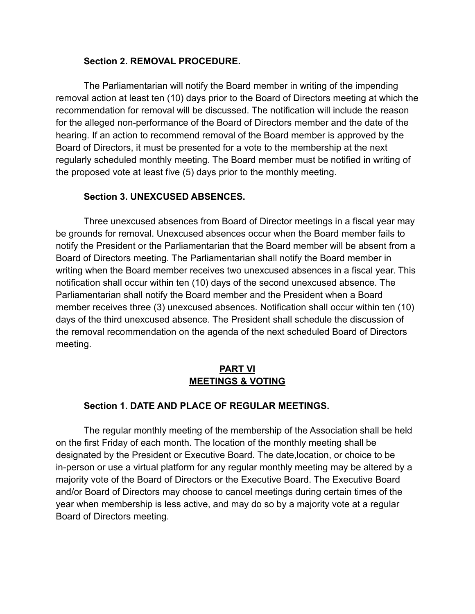#### **Section 2. REMOVAL PROCEDURE.**

The Parliamentarian will notify the Board member in writing of the impending removal action at least ten (10) days prior to the Board of Directors meeting at which the recommendation for removal will be discussed. The notification will include the reason for the alleged non-performance of the Board of Directors member and the date of the hearing. If an action to recommend removal of the Board member is approved by the Board of Directors, it must be presented for a vote to the membership at the next regularly scheduled monthly meeting. The Board member must be notified in writing of the proposed vote at least five (5) days prior to the monthly meeting.

### **Section 3. UNEXCUSED ABSENCES.**

Three unexcused absences from Board of Director meetings in a fiscal year may be grounds for removal. Unexcused absences occur when the Board member fails to notify the President or the Parliamentarian that the Board member will be absent from a Board of Directors meeting. The Parliamentarian shall notify the Board member in writing when the Board member receives two unexcused absences in a fiscal year. This notification shall occur within ten (10) days of the second unexcused absence. The Parliamentarian shall notify the Board member and the President when a Board member receives three (3) unexcused absences. Notification shall occur within ten (10) days of the third unexcused absence. The President shall schedule the discussion of the removal recommendation on the agenda of the next scheduled Board of Directors meeting.

# **PART VI MEETINGS & VOTING**

# **Section 1. DATE AND PLACE OF REGULAR MEETINGS.**

The regular monthly meeting of the membership of the Association shall be held on the first Friday of each month. The location of the monthly meeting shall be designated by the President or Executive Board. The date,location, or choice to be in-person or use a virtual platform for any regular monthly meeting may be altered by a majority vote of the Board of Directors or the Executive Board. The Executive Board and/or Board of Directors may choose to cancel meetings during certain times of the year when membership is less active, and may do so by a majority vote at a regular Board of Directors meeting.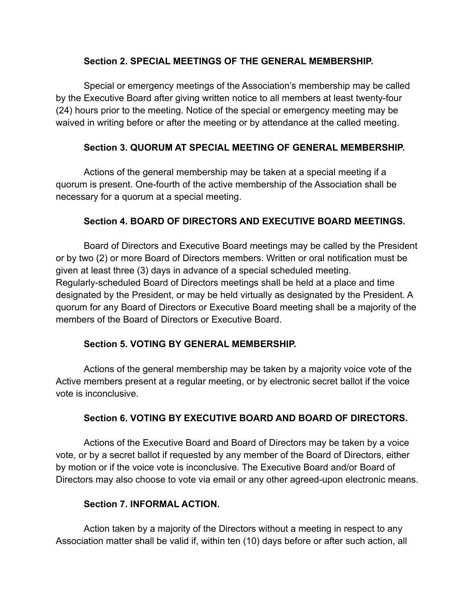### **Section 2. SPECIAL MEETINGS OF THE GENERAL MEMBERSHIP.**

Special or emergency meetings of the Association's membership may be called by the Executive Board after giving written notice to all members at least twenty-four (24) hours prior to the meeting. Notice of the special or emergency meeting may be waived in writing before or after the meeting or by attendance at the called meeting.

## **Section 3. QUORUM AT SPECIAL MEETING OF GENERAL MEMBERSHIP.**

Actions of the general membership may be taken at a special meeting if a quorum is present. One-fourth of the active membership of the Association shall be necessary for a quorum at a special meeting.

### **Section 4. BOARD OF DIRECTORS AND EXECUTIVE BOARD MEETINGS.**

Board of Directors and Executive Board meetings may be called by the President or by two (2) or more Board of Directors members. Written or oral notification must be given at least three (3) days in advance of a special scheduled meeting. Regularly-scheduled Board of Directors meetings shall be held at a place and time designated by the President, or may be held virtually as designated by the President. A quorum for any Board of Directors or Executive Board meeting shall be a majority of the members of the Board of Directors or Executive Board.

### **Section 5. VOTING BY GENERAL MEMBERSHIP.**

Actions of the general membership may be taken by a majority voice vote of the Active members present at a regular meeting, or by electronic secret ballot if the voice vote is inconclusive.

### **Section 6. VOTING BY EXECUTIVE BOARD AND BOARD OF DIRECTORS.**

Actions of the Executive Board and Board of Directors may be taken by a voice vote, or by a secret ballot if requested by any member of the Board of Directors, either by motion or if the voice vote is inconclusive. The Executive Board and/or Board of Directors may also choose to vote via email or any other agreed-upon electronic means.

### **Section 7. INFORMAL ACTION.**

Action taken by a majority of the Directors without a meeting in respect to any Association matter shall be valid if, within ten (10) days before or after such action, all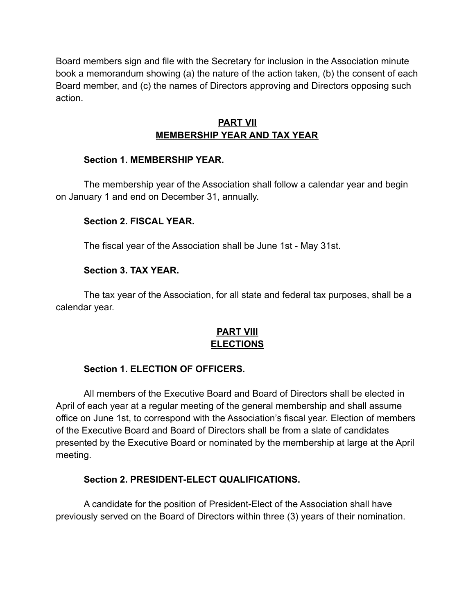Board members sign and file with the Secretary for inclusion in the Association minute book a memorandum showing (a) the nature of the action taken, (b) the consent of each Board member, and (c) the names of Directors approving and Directors opposing such action.

## **PART VII MEMBERSHIP YEAR AND TAX YEAR**

### **Section 1. MEMBERSHIP YEAR.**

The membership year of the Association shall follow a calendar year and begin on January 1 and end on December 31, annually.

# **Section 2. FISCAL YEAR.**

The fiscal year of the Association shall be June 1st - May 31st.

# **Section 3. TAX YEAR.**

The tax year of the Association, for all state and federal tax purposes, shall be a calendar year.

# **PART VIII ELECTIONS**

# **Section 1. ELECTION OF OFFICERS.**

All members of the Executive Board and Board of Directors shall be elected in April of each year at a regular meeting of the general membership and shall assume office on June 1st, to correspond with the Association's fiscal year. Election of members of the Executive Board and Board of Directors shall be from a slate of candidates presented by the Executive Board or nominated by the membership at large at the April meeting.

# **Section 2. PRESIDENT-ELECT QUALIFICATIONS.**

A candidate for the position of President-Elect of the Association shall have previously served on the Board of Directors within three (3) years of their nomination.